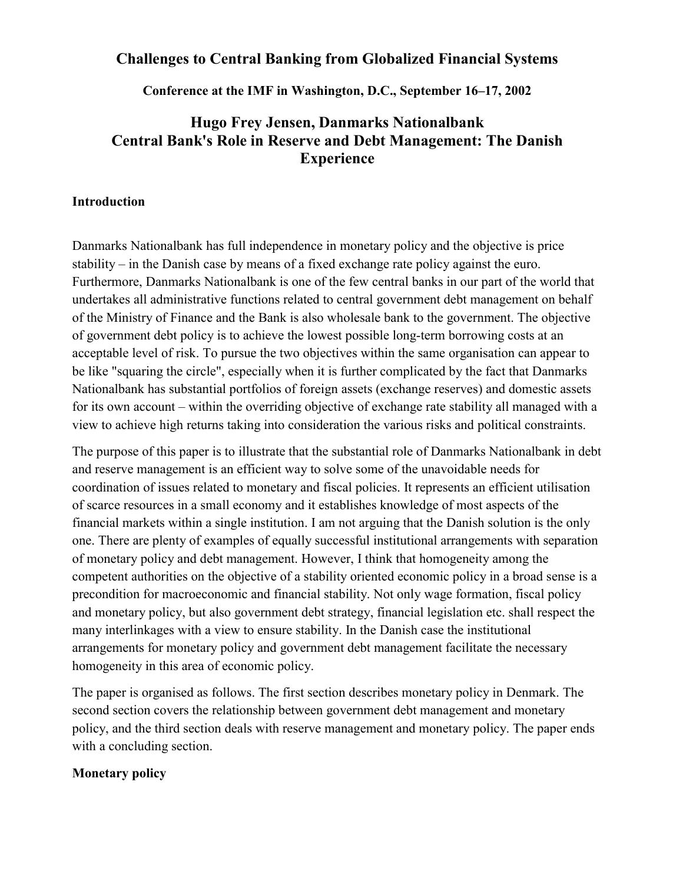# **Challenges to Central Banking from Globalized Financial Systems**

**Conference at the IMF in Washington, D.C., September 16–17, 2002** 

# **Hugo Frey Jensen, Danmarks Nationalbank Central Bank's Role in Reserve and Debt Management: The Danish Experience**

## **Introduction**

Danmarks Nationalbank has full independence in monetary policy and the objective is price stability – in the Danish case by means of a fixed exchange rate policy against the euro. Furthermore, Danmarks Nationalbank is one of the few central banks in our part of the world that undertakes all administrative functions related to central government debt management on behalf of the Ministry of Finance and the Bank is also wholesale bank to the government. The objective of government debt policy is to achieve the lowest possible long-term borrowing costs at an acceptable level of risk. To pursue the two objectives within the same organisation can appear to be like "squaring the circle", especially when it is further complicated by the fact that Danmarks Nationalbank has substantial portfolios of foreign assets (exchange reserves) and domestic assets for its own account – within the overriding objective of exchange rate stability all managed with a view to achieve high returns taking into consideration the various risks and political constraints.

The purpose of this paper is to illustrate that the substantial role of Danmarks Nationalbank in debt and reserve management is an efficient way to solve some of the unavoidable needs for coordination of issues related to monetary and fiscal policies. It represents an efficient utilisation of scarce resources in a small economy and it establishes knowledge of most aspects of the financial markets within a single institution. I am not arguing that the Danish solution is the only one. There are plenty of examples of equally successful institutional arrangements with separation of monetary policy and debt management. However, I think that homogeneity among the competent authorities on the objective of a stability oriented economic policy in a broad sense is a precondition for macroeconomic and financial stability. Not only wage formation, fiscal policy and monetary policy, but also government debt strategy, financial legislation etc. shall respect the many interlinkages with a view to ensure stability. In the Danish case the institutional arrangements for monetary policy and government debt management facilitate the necessary homogeneity in this area of economic policy.

The paper is organised as follows. The first section describes monetary policy in Denmark. The second section covers the relationship between government debt management and monetary policy, and the third section deals with reserve management and monetary policy. The paper ends with a concluding section.

# **Monetary policy**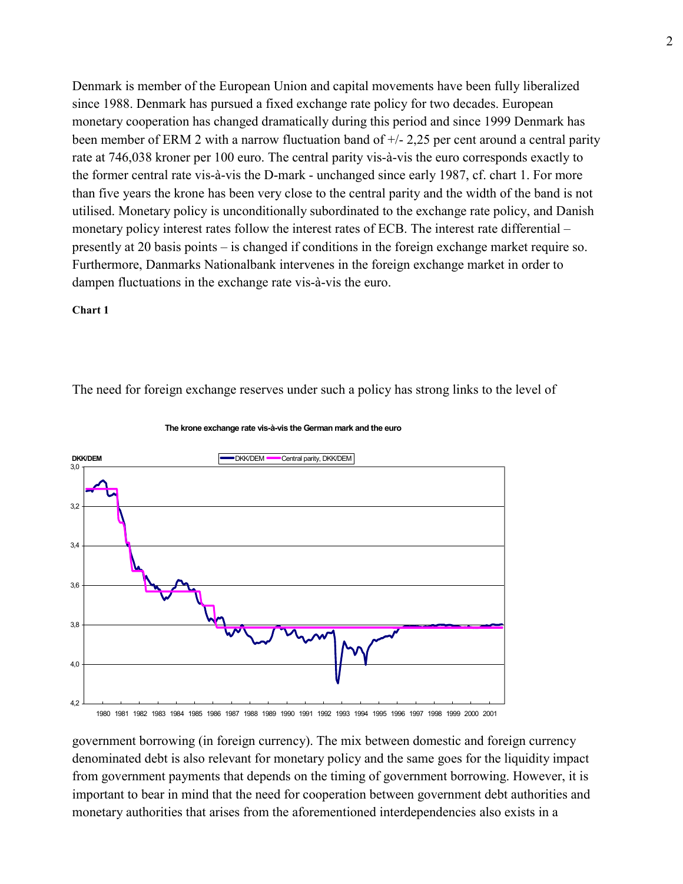Denmark is member of the European Union and capital movements have been fully liberalized since 1988. Denmark has pursued a fixed exchange rate policy for two decades. European monetary cooperation has changed dramatically during this period and since 1999 Denmark has been member of ERM 2 with a narrow fluctuation band of  $+/- 2,25$  per cent around a central parity rate at 746,038 kroner per 100 euro. The central parity vis-à-vis the euro corresponds exactly to the former central rate vis-à-vis the D-mark - unchanged since early 1987, cf. chart 1. For more than five years the krone has been very close to the central parity and the width of the band is not utilised. Monetary policy is unconditionally subordinated to the exchange rate policy, and Danish monetary policy interest rates follow the interest rates of ECB. The interest rate differential – presently at 20 basis points – is changed if conditions in the foreign exchange market require so. Furthermore, Danmarks Nationalbank intervenes in the foreign exchange market in order to dampen fluctuations in the exchange rate vis-à-vis the euro.

#### **Chart 1**

The need for foreign exchange reserves under such a policy has strong links to the level of



**The krone exchange rate vis-à-vis the German mark and the euro**

1980 1981 1982 1983 1984 1985 1986 1987 1988 1989 1990 1991 1992 1993 1994 1995 1996 1997 1998 1999 2000 2001

government borrowing (in foreign currency). The mix between domestic and foreign currency denominated debt is also relevant for monetary policy and the same goes for the liquidity impact from government payments that depends on the timing of government borrowing. However, it is important to bear in mind that the need for cooperation between government debt authorities and monetary authorities that arises from the aforementioned interdependencies also exists in a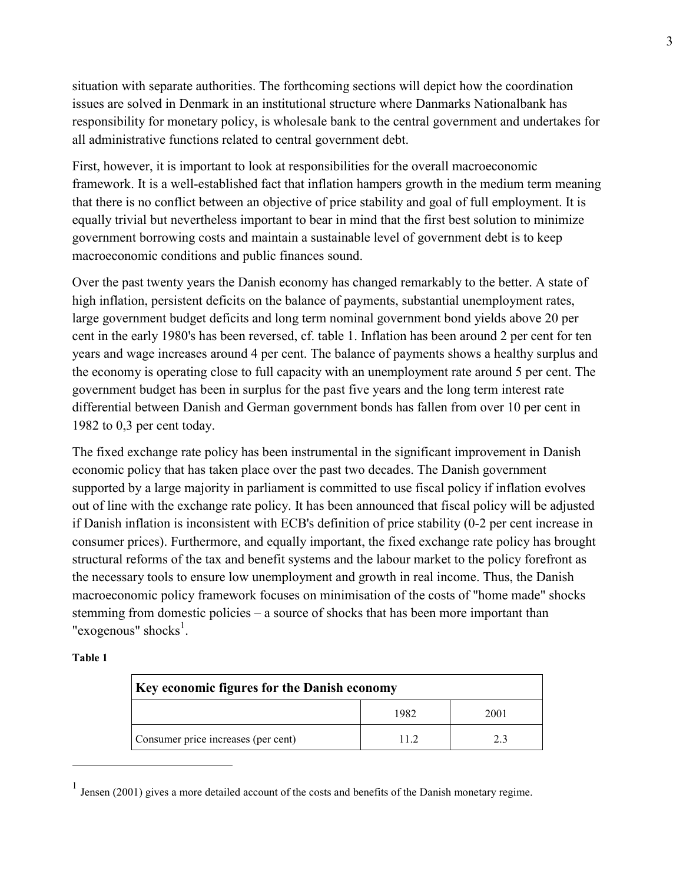situation with separate authorities. The forthcoming sections will depict how the coordination issues are solved in Denmark in an institutional structure where Danmarks Nationalbank has responsibility for monetary policy, is wholesale bank to the central government and undertakes for all administrative functions related to central government debt.

First, however, it is important to look at responsibilities for the overall macroeconomic framework. It is a well-established fact that inflation hampers growth in the medium term meaning that there is no conflict between an objective of price stability and goal of full employment. It is equally trivial but nevertheless important to bear in mind that the first best solution to minimize government borrowing costs and maintain a sustainable level of government debt is to keep macroeconomic conditions and public finances sound.

Over the past twenty years the Danish economy has changed remarkably to the better. A state of high inflation, persistent deficits on the balance of payments, substantial unemployment rates, large government budget deficits and long term nominal government bond yields above 20 per cent in the early 1980's has been reversed, cf. table 1. Inflation has been around 2 per cent for ten years and wage increases around 4 per cent. The balance of payments shows a healthy surplus and the economy is operating close to full capacity with an unemployment rate around 5 per cent. The government budget has been in surplus for the past five years and the long term interest rate differential between Danish and German government bonds has fallen from over 10 per cent in 1982 to 0,3 per cent today.

The fixed exchange rate policy has been instrumental in the significant improvement in Danish economic policy that has taken place over the past two decades. The Danish government supported by a large majority in parliament is committed to use fiscal policy if inflation evolves out of line with the exchange rate policy. It has been announced that fiscal policy will be adjusted if Danish inflation is inconsistent with ECB's definition of price stability (0-2 per cent increase in consumer prices). Furthermore, and equally important, the fixed exchange rate policy has brought structural reforms of the tax and benefit systems and the labour market to the policy forefront as the necessary tools to ensure low unemployment and growth in real income. Thus, the Danish macroeconomic policy framework focuses on minimisation of the costs of "home made" shocks stemming from domestic policies – a source of shocks that has been more important than "exogenous" shocks $<sup>1</sup>$ .</sup>

| m<br>и<br>ι. |  |
|--------------|--|
|--------------|--|

 $\overline{a}$ 

| Key economic figures for the Danish economy |      |      |  |  |
|---------------------------------------------|------|------|--|--|
|                                             | 1982 | 2001 |  |  |
| Consumer price increases (per cent)         | 11.2 |      |  |  |

<sup>&</sup>lt;sup>1</sup> Jensen (2001) gives a more detailed account of the costs and benefits of the Danish monetary regime.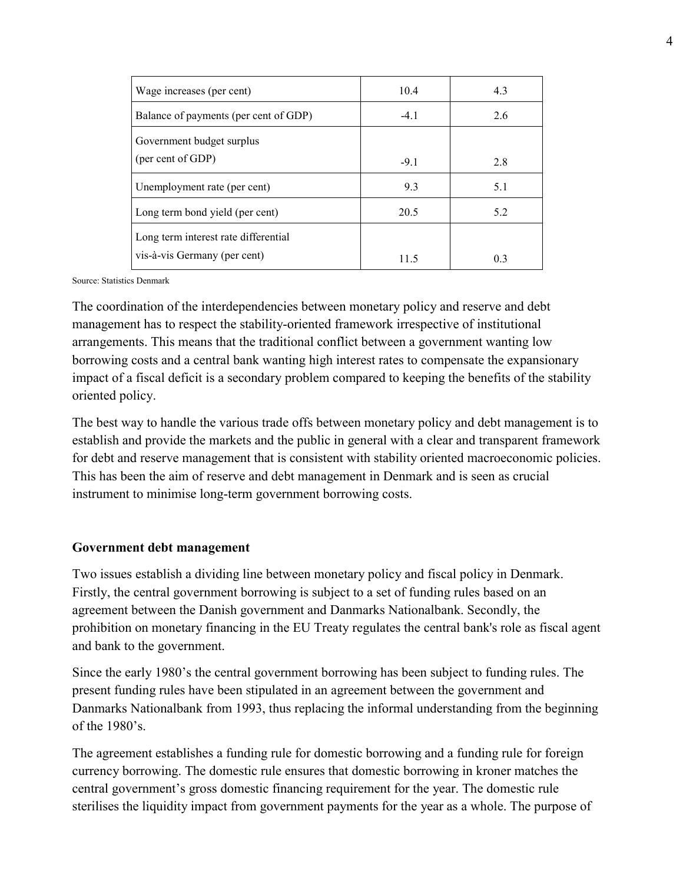| Wage increases (per cent)             | 10.4   | 4.3            |
|---------------------------------------|--------|----------------|
| Balance of payments (per cent of GDP) | $-4.1$ | 2.6            |
| Government budget surplus             |        |                |
| (per cent of GDP)                     | $-9.1$ | 2.8            |
| Unemployment rate (per cent)          | 9.3    | 5.1            |
| Long term bond yield (per cent)       | 20.5   | 5.2            |
| Long term interest rate differential  |        |                |
| vis-à-vis Germany (per cent)          | 11.5   | 0 <sup>3</sup> |

Source: Statistics Denmark

The coordination of the interdependencies between monetary policy and reserve and debt management has to respect the stability-oriented framework irrespective of institutional arrangements. This means that the traditional conflict between a government wanting low borrowing costs and a central bank wanting high interest rates to compensate the expansionary impact of a fiscal deficit is a secondary problem compared to keeping the benefits of the stability oriented policy.

The best way to handle the various trade offs between monetary policy and debt management is to establish and provide the markets and the public in general with a clear and transparent framework for debt and reserve management that is consistent with stability oriented macroeconomic policies. This has been the aim of reserve and debt management in Denmark and is seen as crucial instrument to minimise long-term government borrowing costs.

### **Government debt management**

Two issues establish a dividing line between monetary policy and fiscal policy in Denmark. Firstly, the central government borrowing is subject to a set of funding rules based on an agreement between the Danish government and Danmarks Nationalbank. Secondly, the prohibition on monetary financing in the EU Treaty regulates the central bank's role as fiscal agent and bank to the government.

Since the early 1980's the central government borrowing has been subject to funding rules. The present funding rules have been stipulated in an agreement between the government and Danmarks Nationalbank from 1993, thus replacing the informal understanding from the beginning of the 1980's.

The agreement establishes a funding rule for domestic borrowing and a funding rule for foreign currency borrowing. The domestic rule ensures that domestic borrowing in kroner matches the central government's gross domestic financing requirement for the year. The domestic rule sterilises the liquidity impact from government payments for the year as a whole. The purpose of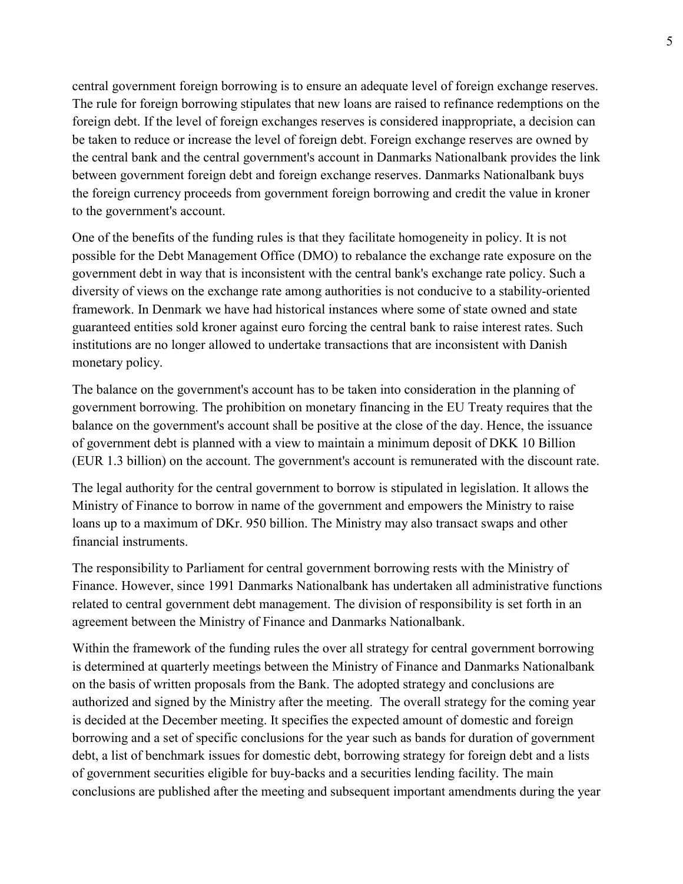central government foreign borrowing is to ensure an adequate level of foreign exchange reserves. The rule for foreign borrowing stipulates that new loans are raised to refinance redemptions on the foreign debt. If the level of foreign exchanges reserves is considered inappropriate, a decision can be taken to reduce or increase the level of foreign debt. Foreign exchange reserves are owned by the central bank and the central government's account in Danmarks Nationalbank provides the link between government foreign debt and foreign exchange reserves. Danmarks Nationalbank buys the foreign currency proceeds from government foreign borrowing and credit the value in kroner to the government's account.

One of the benefits of the funding rules is that they facilitate homogeneity in policy. It is not possible for the Debt Management Office (DMO) to rebalance the exchange rate exposure on the government debt in way that is inconsistent with the central bank's exchange rate policy. Such a diversity of views on the exchange rate among authorities is not conducive to a stability-oriented framework. In Denmark we have had historical instances where some of state owned and state guaranteed entities sold kroner against euro forcing the central bank to raise interest rates. Such institutions are no longer allowed to undertake transactions that are inconsistent with Danish monetary policy.

The balance on the government's account has to be taken into consideration in the planning of government borrowing. The prohibition on monetary financing in the EU Treaty requires that the balance on the government's account shall be positive at the close of the day. Hence, the issuance of government debt is planned with a view to maintain a minimum deposit of DKK 10 Billion (EUR 1.3 billion) on the account. The government's account is remunerated with the discount rate.

The legal authority for the central government to borrow is stipulated in legislation. It allows the Ministry of Finance to borrow in name of the government and empowers the Ministry to raise loans up to a maximum of DKr. 950 billion. The Ministry may also transact swaps and other financial instruments.

The responsibility to Parliament for central government borrowing rests with the Ministry of Finance. However, since 1991 Danmarks Nationalbank has undertaken all administrative functions related to central government debt management. The division of responsibility is set forth in an agreement between the Ministry of Finance and Danmarks Nationalbank.

Within the framework of the funding rules the over all strategy for central government borrowing is determined at quarterly meetings between the Ministry of Finance and Danmarks Nationalbank on the basis of written proposals from the Bank. The adopted strategy and conclusions are authorized and signed by the Ministry after the meeting. The overall strategy for the coming year is decided at the December meeting. It specifies the expected amount of domestic and foreign borrowing and a set of specific conclusions for the year such as bands for duration of government debt, a list of benchmark issues for domestic debt, borrowing strategy for foreign debt and a lists of government securities eligible for buy-backs and a securities lending facility. The main conclusions are published after the meeting and subsequent important amendments during the year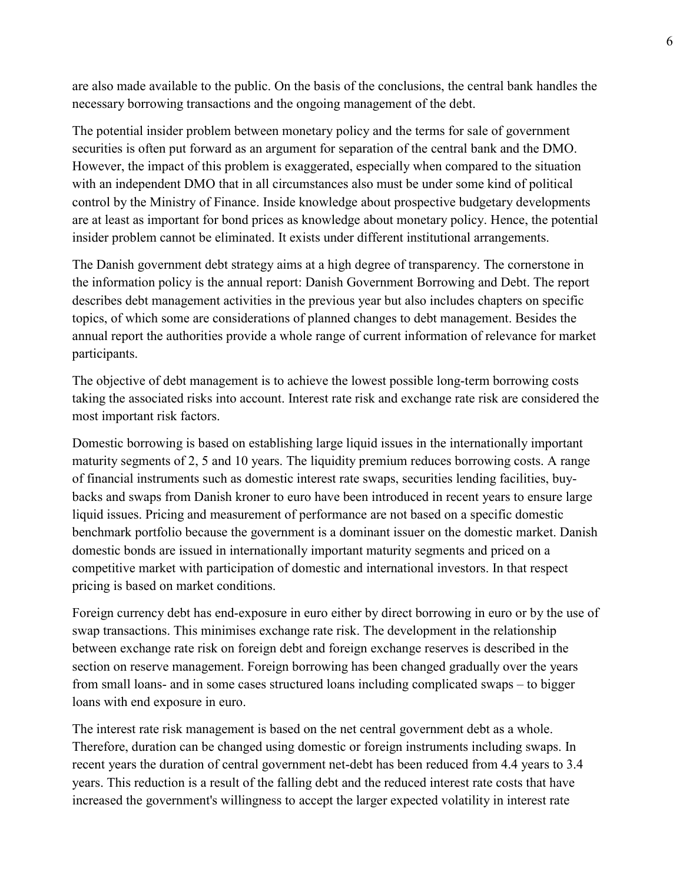are also made available to the public. On the basis of the conclusions, the central bank handles the necessary borrowing transactions and the ongoing management of the debt.

The potential insider problem between monetary policy and the terms for sale of government securities is often put forward as an argument for separation of the central bank and the DMO. However, the impact of this problem is exaggerated, especially when compared to the situation with an independent DMO that in all circumstances also must be under some kind of political control by the Ministry of Finance. Inside knowledge about prospective budgetary developments are at least as important for bond prices as knowledge about monetary policy. Hence, the potential insider problem cannot be eliminated. It exists under different institutional arrangements.

The Danish government debt strategy aims at a high degree of transparency. The cornerstone in the information policy is the annual report: Danish Government Borrowing and Debt. The report describes debt management activities in the previous year but also includes chapters on specific topics, of which some are considerations of planned changes to debt management. Besides the annual report the authorities provide a whole range of current information of relevance for market participants.

The objective of debt management is to achieve the lowest possible long-term borrowing costs taking the associated risks into account. Interest rate risk and exchange rate risk are considered the most important risk factors.

Domestic borrowing is based on establishing large liquid issues in the internationally important maturity segments of 2, 5 and 10 years. The liquidity premium reduces borrowing costs. A range of financial instruments such as domestic interest rate swaps, securities lending facilities, buybacks and swaps from Danish kroner to euro have been introduced in recent years to ensure large liquid issues. Pricing and measurement of performance are not based on a specific domestic benchmark portfolio because the government is a dominant issuer on the domestic market. Danish domestic bonds are issued in internationally important maturity segments and priced on a competitive market with participation of domestic and international investors. In that respect pricing is based on market conditions.

Foreign currency debt has end-exposure in euro either by direct borrowing in euro or by the use of swap transactions. This minimises exchange rate risk. The development in the relationship between exchange rate risk on foreign debt and foreign exchange reserves is described in the section on reserve management. Foreign borrowing has been changed gradually over the years from small loans- and in some cases structured loans including complicated swaps – to bigger loans with end exposure in euro.

The interest rate risk management is based on the net central government debt as a whole. Therefore, duration can be changed using domestic or foreign instruments including swaps. In recent years the duration of central government net-debt has been reduced from 4.4 years to 3.4 years. This reduction is a result of the falling debt and the reduced interest rate costs that have increased the government's willingness to accept the larger expected volatility in interest rate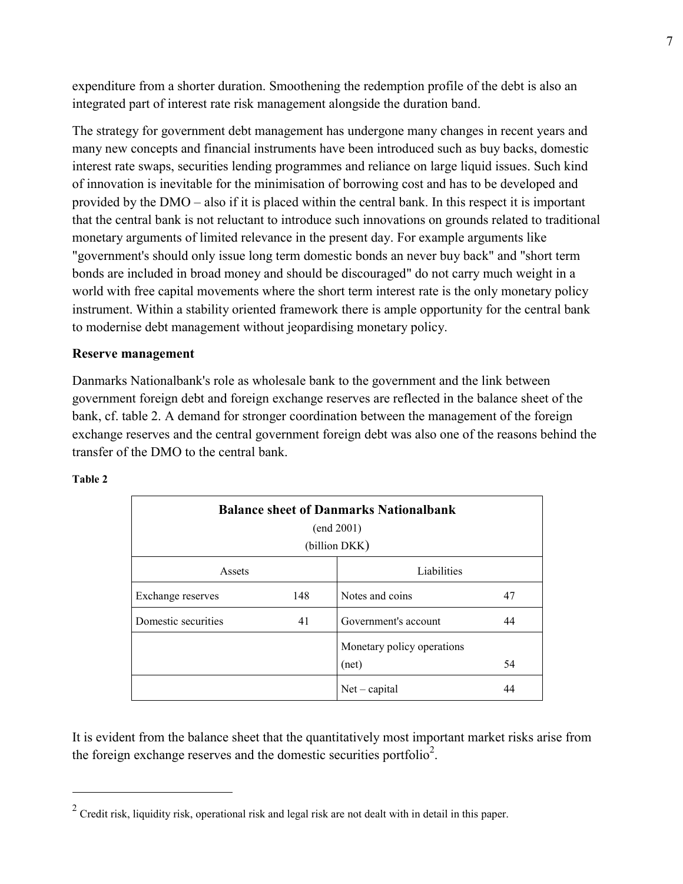expenditure from a shorter duration. Smoothening the redemption profile of the debt is also an integrated part of interest rate risk management alongside the duration band.

The strategy for government debt management has undergone many changes in recent years and many new concepts and financial instruments have been introduced such as buy backs, domestic interest rate swaps, securities lending programmes and reliance on large liquid issues. Such kind of innovation is inevitable for the minimisation of borrowing cost and has to be developed and provided by the DMO – also if it is placed within the central bank. In this respect it is important that the central bank is not reluctant to introduce such innovations on grounds related to traditional monetary arguments of limited relevance in the present day. For example arguments like "government's should only issue long term domestic bonds an never buy back" and "short term bonds are included in broad money and should be discouraged" do not carry much weight in a world with free capital movements where the short term interest rate is the only monetary policy instrument. Within a stability oriented framework there is ample opportunity for the central bank to modernise debt management without jeopardising monetary policy.

### **Reserve management**

Danmarks Nationalbank's role as wholesale bank to the government and the link between government foreign debt and foreign exchange reserves are reflected in the balance sheet of the bank, cf. table 2. A demand for stronger coordination between the management of the foreign exchange reserves and the central government foreign debt was also one of the reasons behind the transfer of the DMO to the central bank.

#### **Table 2**

 $\overline{a}$ 

| <b>Balance sheet of Danmarks Nationalbank</b><br>(end 2001)<br>(billion DKK) |     |                                     |    |  |  |
|------------------------------------------------------------------------------|-----|-------------------------------------|----|--|--|
| Assets                                                                       |     | Liabilities                         |    |  |  |
| Exchange reserves                                                            | 148 | Notes and coins                     | 47 |  |  |
| Domestic securities                                                          | 41  | Government's account                | 44 |  |  |
|                                                                              |     | Monetary policy operations<br>(net) | 54 |  |  |
|                                                                              |     | $Net - capital$                     | 44 |  |  |

It is evident from the balance sheet that the quantitatively most important market risks arise from the foreign exchange reserves and the domestic securities portfolio<sup>2</sup>.

<sup>&</sup>lt;sup>2</sup> Credit risk, liquidity risk, operational risk and legal risk are not dealt with in detail in this paper.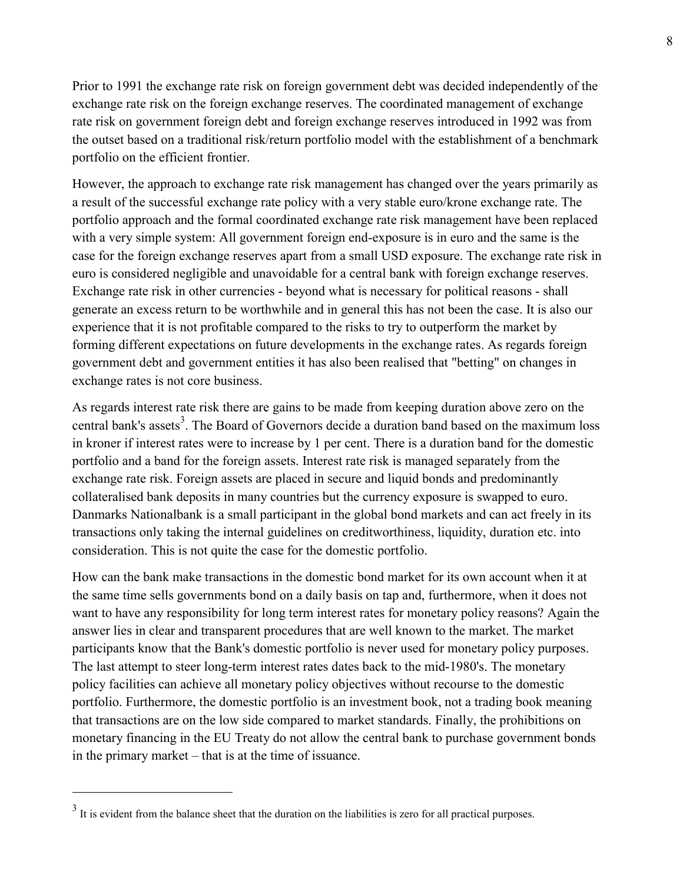Prior to 1991 the exchange rate risk on foreign government debt was decided independently of the exchange rate risk on the foreign exchange reserves. The coordinated management of exchange rate risk on government foreign debt and foreign exchange reserves introduced in 1992 was from the outset based on a traditional risk/return portfolio model with the establishment of a benchmark portfolio on the efficient frontier.

However, the approach to exchange rate risk management has changed over the years primarily as a result of the successful exchange rate policy with a very stable euro/krone exchange rate. The portfolio approach and the formal coordinated exchange rate risk management have been replaced with a very simple system: All government foreign end-exposure is in euro and the same is the case for the foreign exchange reserves apart from a small USD exposure. The exchange rate risk in euro is considered negligible and unavoidable for a central bank with foreign exchange reserves. Exchange rate risk in other currencies - beyond what is necessary for political reasons - shall generate an excess return to be worthwhile and in general this has not been the case. It is also our experience that it is not profitable compared to the risks to try to outperform the market by forming different expectations on future developments in the exchange rates. As regards foreign government debt and government entities it has also been realised that "betting" on changes in exchange rates is not core business.

As regards interest rate risk there are gains to be made from keeping duration above zero on the central bank's assets<sup>3</sup>. The Board of Governors decide a duration band based on the maximum loss in kroner if interest rates were to increase by 1 per cent. There is a duration band for the domestic portfolio and a band for the foreign assets. Interest rate risk is managed separately from the exchange rate risk. Foreign assets are placed in secure and liquid bonds and predominantly collateralised bank deposits in many countries but the currency exposure is swapped to euro. Danmarks Nationalbank is a small participant in the global bond markets and can act freely in its transactions only taking the internal guidelines on creditworthiness, liquidity, duration etc. into consideration. This is not quite the case for the domestic portfolio.

How can the bank make transactions in the domestic bond market for its own account when it at the same time sells governments bond on a daily basis on tap and, furthermore, when it does not want to have any responsibility for long term interest rates for monetary policy reasons? Again the answer lies in clear and transparent procedures that are well known to the market. The market participants know that the Bank's domestic portfolio is never used for monetary policy purposes. The last attempt to steer long-term interest rates dates back to the mid-1980's. The monetary policy facilities can achieve all monetary policy objectives without recourse to the domestic portfolio. Furthermore, the domestic portfolio is an investment book, not a trading book meaning that transactions are on the low side compared to market standards. Finally, the prohibitions on monetary financing in the EU Treaty do not allow the central bank to purchase government bonds in the primary market – that is at the time of issuance.

 $\overline{a}$ 

 $3<sup>3</sup>$  It is evident from the balance sheet that the duration on the liabilities is zero for all practical purposes.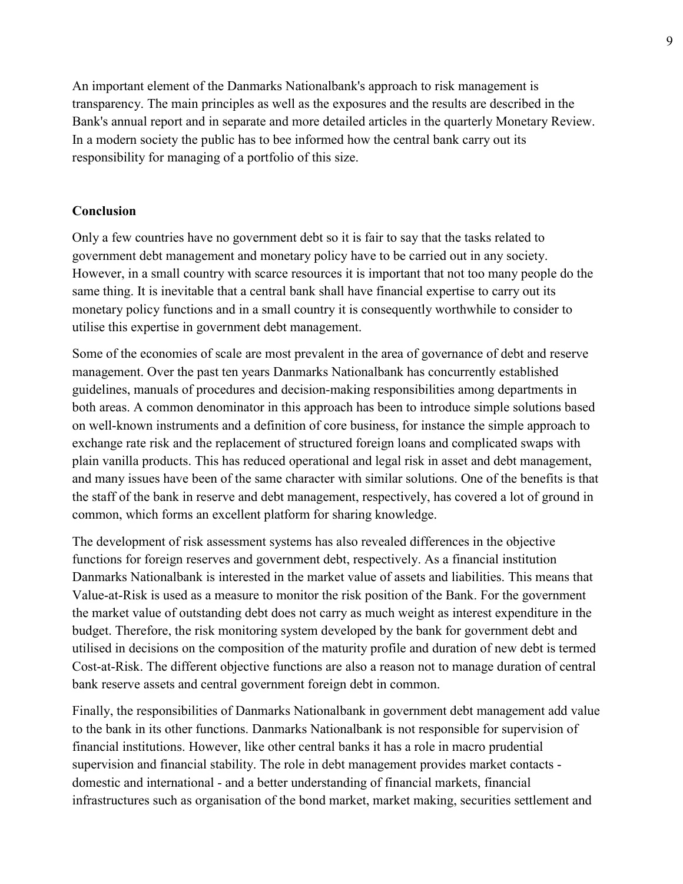An important element of the Danmarks Nationalbank's approach to risk management is transparency. The main principles as well as the exposures and the results are described in the Bank's annual report and in separate and more detailed articles in the quarterly Monetary Review. In a modern society the public has to bee informed how the central bank carry out its responsibility for managing of a portfolio of this size.

### **Conclusion**

Only a few countries have no government debt so it is fair to say that the tasks related to government debt management and monetary policy have to be carried out in any society. However, in a small country with scarce resources it is important that not too many people do the same thing. It is inevitable that a central bank shall have financial expertise to carry out its monetary policy functions and in a small country it is consequently worthwhile to consider to utilise this expertise in government debt management.

Some of the economies of scale are most prevalent in the area of governance of debt and reserve management. Over the past ten years Danmarks Nationalbank has concurrently established guidelines, manuals of procedures and decision-making responsibilities among departments in both areas. A common denominator in this approach has been to introduce simple solutions based on well-known instruments and a definition of core business, for instance the simple approach to exchange rate risk and the replacement of structured foreign loans and complicated swaps with plain vanilla products. This has reduced operational and legal risk in asset and debt management, and many issues have been of the same character with similar solutions. One of the benefits is that the staff of the bank in reserve and debt management, respectively, has covered a lot of ground in common, which forms an excellent platform for sharing knowledge.

The development of risk assessment systems has also revealed differences in the objective functions for foreign reserves and government debt, respectively. As a financial institution Danmarks Nationalbank is interested in the market value of assets and liabilities. This means that Value-at-Risk is used as a measure to monitor the risk position of the Bank. For the government the market value of outstanding debt does not carry as much weight as interest expenditure in the budget. Therefore, the risk monitoring system developed by the bank for government debt and utilised in decisions on the composition of the maturity profile and duration of new debt is termed Cost-at-Risk. The different objective functions are also a reason not to manage duration of central bank reserve assets and central government foreign debt in common.

Finally, the responsibilities of Danmarks Nationalbank in government debt management add value to the bank in its other functions. Danmarks Nationalbank is not responsible for supervision of financial institutions. However, like other central banks it has a role in macro prudential supervision and financial stability. The role in debt management provides market contacts domestic and international - and a better understanding of financial markets, financial infrastructures such as organisation of the bond market, market making, securities settlement and